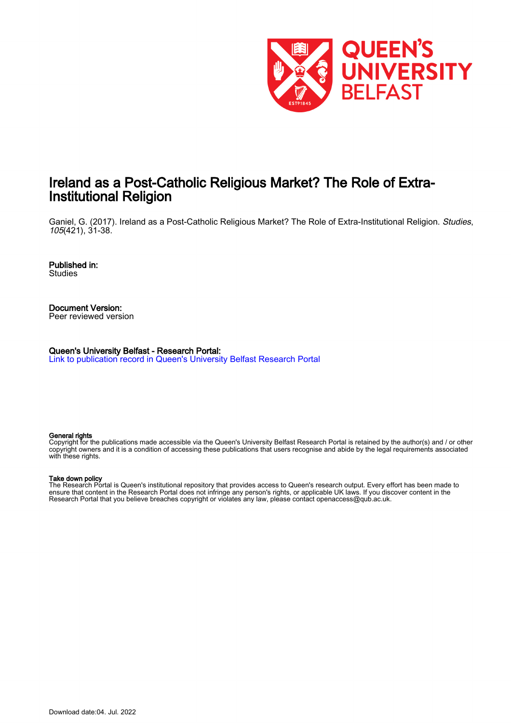

## Ireland as a Post-Catholic Religious Market? The Role of Extra-Institutional Religion

Ganiel, G. (2017). Ireland as a Post-Catholic Religious Market? The Role of Extra-Institutional Religion. Studies, 105(421), 31-38.

Published in: **Studies** 

Document Version: Peer reviewed version

Queen's University Belfast - Research Portal: [Link to publication record in Queen's University Belfast Research Portal](https://pure.qub.ac.uk/en/publications/5baeb453-35f7-4c2f-ac53-beaf6d940a24)

#### General rights

Copyright for the publications made accessible via the Queen's University Belfast Research Portal is retained by the author(s) and / or other copyright owners and it is a condition of accessing these publications that users recognise and abide by the legal requirements associated with these rights.

#### Take down policy

The Research Portal is Queen's institutional repository that provides access to Queen's research output. Every effort has been made to ensure that content in the Research Portal does not infringe any person's rights, or applicable UK laws. If you discover content in the Research Portal that you believe breaches copyright or violates any law, please contact openaccess@qub.ac.uk.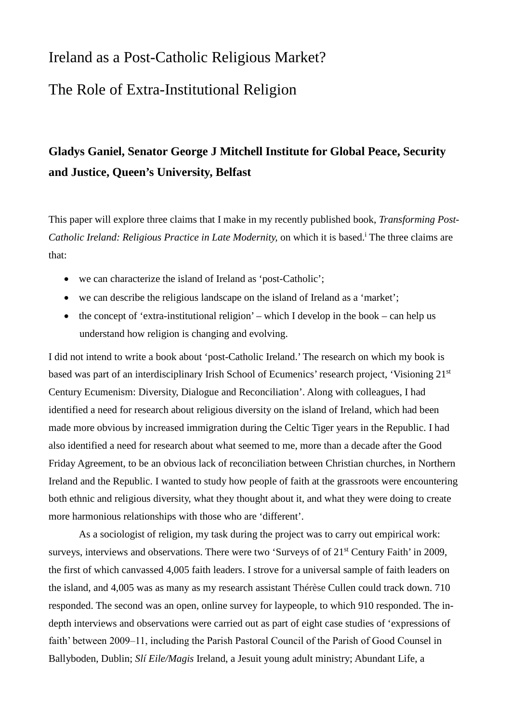# Ireland as a Post-Catholic Religious Market? The Role of Extra-Institutional Religion

# **Gladys Ganiel, Senator George J Mitchell Institute for Global Peace, Security and Justice, Queen's University, Belfast**

This paper will explore three claims that I make in my recently published book, *Transforming Post-*Catholic Ireland: Religious Practice in Late Modernity, on which it is based.<sup>i</sup> The three claims are that:

- we can characterize the island of Ireland as 'post-Catholic';
- we can describe the religious landscape on the island of Ireland as a 'market';
- the concept of 'extra-institutional religion' which I develop in the book can help us understand how religion is changing and evolving.

I did not intend to write a book about 'post-Catholic Ireland.' The research on which my book is based was part of an interdisciplinary Irish School of Ecumenics' research project, 'Visioning 21st Century Ecumenism: Diversity, Dialogue and Reconciliation'. Along with colleagues, I had identified a need for research about religious diversity on the island of Ireland, which had been made more obvious by increased immigration during the Celtic Tiger years in the Republic. I had also identified a need for research about what seemed to me, more than a decade after the Good Friday Agreement, to be an obvious lack of reconciliation between Christian churches, in Northern Ireland and the Republic. I wanted to study how people of faith at the grassroots were encountering both ethnic and religious diversity, what they thought about it, and what they were doing to create more harmonious relationships with those who are 'different'.

As a sociologist of religion, my task during the project was to carry out empirical work: surveys, interviews and observations. There were two 'Surveys of of 21<sup>st</sup> Century Faith' in 2009, the first of which canvassed 4,005 faith leaders. I strove for a universal sample of faith leaders on the island, and 4,005 was as many as my research assistant Thérèse Cullen could track down. 710 responded. The second was an open, online survey for laypeople, to which 910 responded. The indepth interviews and observations were carried out as part of eight case studies of 'expressions of faith' between 2009–11, including the Parish Pastoral Council of the Parish of Good Counsel in Ballyboden, Dublin; *Slí Eile/Magis* Ireland, a Jesuit young adult ministry; Abundant Life, a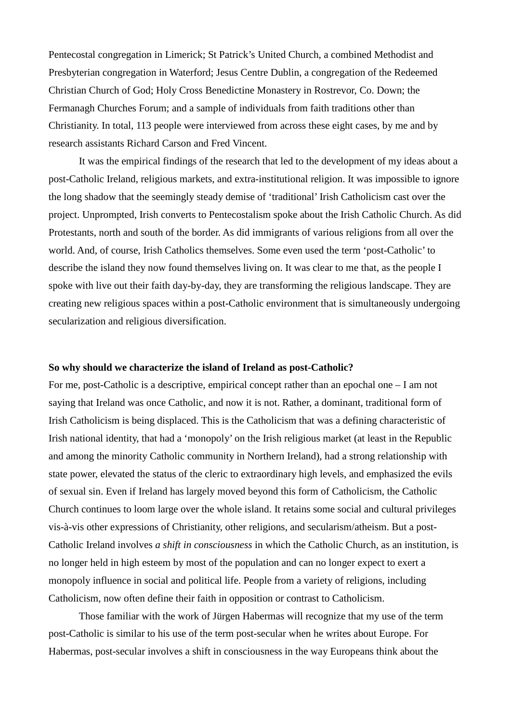Pentecostal congregation in Limerick; St Patrick's United Church, a combined Methodist and Presbyterian congregation in Waterford; Jesus Centre Dublin, a congregation of the Redeemed Christian Church of God; Holy Cross Benedictine Monastery in Rostrevor, Co. Down; the Fermanagh Churches Forum; and a sample of individuals from faith traditions other than Christianity. In total, 113 people were interviewed from across these eight cases, by me and by research assistants Richard Carson and Fred Vincent.

It was the empirical findings of the research that led to the development of my ideas about a post-Catholic Ireland, religious markets, and extra-institutional religion. It was impossible to ignore the long shadow that the seemingly steady demise of 'traditional' Irish Catholicism cast over the project. Unprompted, Irish converts to Pentecostalism spoke about the Irish Catholic Church. As did Protestants, north and south of the border. As did immigrants of various religions from all over the world. And, of course, Irish Catholics themselves. Some even used the term 'post-Catholic' to describe the island they now found themselves living on. It was clear to me that, as the people I spoke with live out their faith day-by-day, they are transforming the religious landscape. They are creating new religious spaces within a post-Catholic environment that is simultaneously undergoing secularization and religious diversification.

### **So why should we characterize the island of Ireland as post-Catholic?**

For me, post-Catholic is a descriptive, empirical concept rather than an epochal one – I am not saying that Ireland was once Catholic, and now it is not. Rather, a dominant, traditional form of Irish Catholicism is being displaced. This is the Catholicism that was a defining characteristic of Irish national identity, that had a 'monopoly' on the Irish religious market (at least in the Republic and among the minority Catholic community in Northern Ireland), had a strong relationship with state power, elevated the status of the cleric to extraordinary high levels, and emphasized the evils of sexual sin. Even if Ireland has largely moved beyond this form of Catholicism, the Catholic Church continues to loom large over the whole island. It retains some social and cultural privileges vis-à-vis other expressions of Christianity, other religions, and secularism/atheism. But a post-Catholic Ireland involves *a shift in consciousness* in which the Catholic Church, as an institution, is no longer held in high esteem by most of the population and can no longer expect to exert a monopoly influence in social and political life. People from a variety of religions, including Catholicism, now often define their faith in opposition or contrast to Catholicism.

Those familiar with the work of Jürgen Habermas will recognize that my use of the term post-Catholic is similar to his use of the term post-secular when he writes about Europe. For Habermas, post-secular involves a shift in consciousness in the way Europeans think about the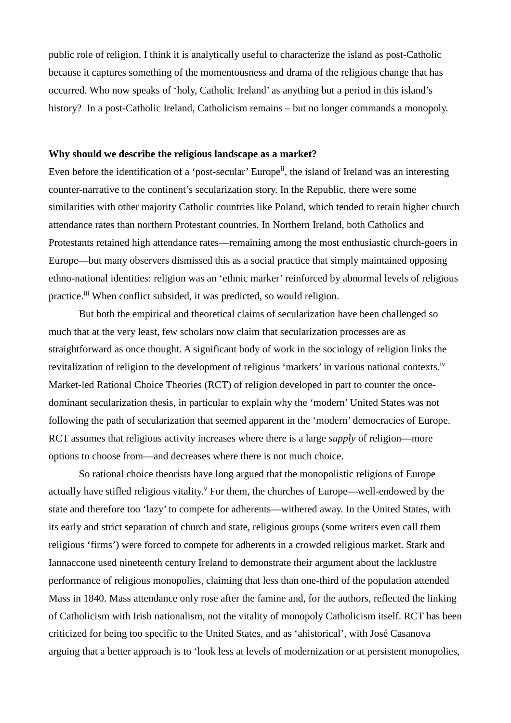public role of religion. I think it is analytically useful to characterize the island as post-Catholic because it captures something of the momentousness and drama of the religious change that has occurred. Who now speaks of 'holy, Catholic Ireland' as anything but a period in this island's history? In a post-Catholic Ireland, Catholicism remains – but no longer commands a monopoly.

### **Why should we describe the religious landscape as a market?**

Even before the identification of a 'post-secular' Europe<sup>ii</sup>, the island of Ireland was an interesting counter-narrative to the continent's secularization story. In the Republic, there were some similarities with other majority Catholic countries like Poland, which tended to retain higher church attendance rates than northern Protestant countries. In Northern Ireland, both Catholics and Protestants retained high attendance rates—remaining among the most enthusiastic church-goers in Europe—but many observers dismissed this as a social practice that simply maintained opposing ethno-national identities: religion was an 'ethnic marker' reinforced by abnormal levels of religious practice.iii When conflict subsided, it was predicted, so would religion.

But both the empirical and theoretical claims of secularization have been challenged so much that at the very least, few scholars now claim that secularization processes are as straightforward as once thought. A significant body of work in the sociology of religion links the revitalization of religion to the development of religious 'markets' in various national contexts.<sup>iv</sup> Market-led Rational Choice Theories (RCT) of religion developed in part to counter the oncedominant secularization thesis, in particular to explain why the 'modern' United States was not following the path of secularization that seemed apparent in the 'modern' democracies of Europe. RCT assumes that religious activity increases where there is a large *supply* of religion—more options to choose from—and decreases where there is not much choice.

So rational choice theorists have long argued that the monopolistic religions of Europe actually have stifled religious vitality.<sup> $v$ </sup> For them, the churches of Europe—well-endowed by the state and therefore too 'lazy' to compete for adherents—withered away. In the United States, with its early and strict separation of church and state, religious groups (some writers even call them religious 'firms') were forced to compete for adherents in a crowded religious market. Stark and Iannaccone used nineteenth century Ireland to demonstrate their argument about the lacklustre performance of religious monopolies, claiming that less than one-third of the population attended Mass in 1840. Mass attendance only rose after the famine and, for the authors, reflected the linking of Catholicism with Irish nationalism, not the vitality of monopoly Catholicism itself. RCT has been criticized for being too specific to the United States, and as 'ahistorical', with José Casanova arguing that a better approach is to 'look less at levels of modernization or at persistent monopolies,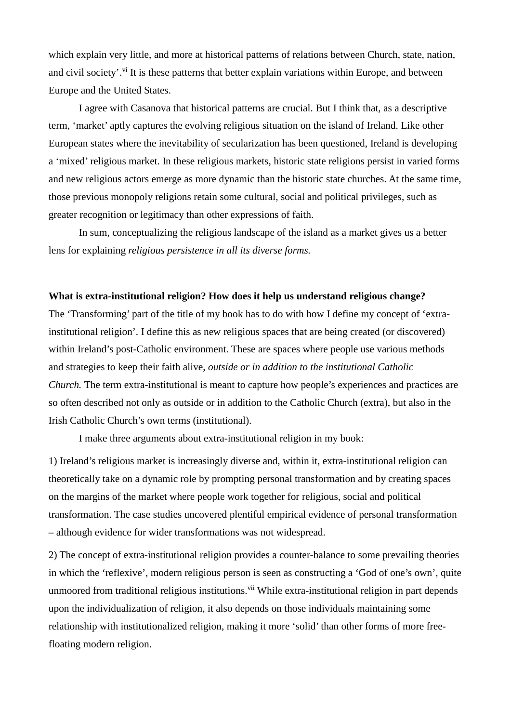which explain very little, and more at historical patterns of relations between Church, state, nation, and civil society'.<sup>vi</sup> It is these patterns that better explain variations within Europe, and between Europe and the United States.

I agree with Casanova that historical patterns are crucial. But I think that, as a descriptive term, 'market' aptly captures the evolving religious situation on the island of Ireland. Like other European states where the inevitability of secularization has been questioned, Ireland is developing a 'mixed' religious market. In these religious markets, historic state religions persist in varied forms and new religious actors emerge as more dynamic than the historic state churches. At the same time, those previous monopoly religions retain some cultural, social and political privileges, such as greater recognition or legitimacy than other expressions of faith.

In sum, conceptualizing the religious landscape of the island as a market gives us a better lens for explaining *religious persistence in all its diverse forms.* 

### **What is extra-institutional religion? How does it help us understand religious change?**

The 'Transforming' part of the title of my book has to do with how I define my concept of 'extrainstitutional religion'. I define this as new religious spaces that are being created (or discovered) within Ireland's post-Catholic environment. These are spaces where people use various methods and strategies to keep their faith alive, *outside or in addition to the institutional Catholic Church.* The term extra-institutional is meant to capture how people's experiences and practices are so often described not only as outside or in addition to the Catholic Church (extra), but also in the Irish Catholic Church's own terms (institutional).

I make three arguments about extra-institutional religion in my book:

1) Ireland's religious market is increasingly diverse and, within it, extra-institutional religion can theoretically take on a dynamic role by prompting personal transformation and by creating spaces on the margins of the market where people work together for religious, social and political transformation. The case studies uncovered plentiful empirical evidence of personal transformation – although evidence for wider transformations was not widespread.

2) The concept of extra-institutional religion provides a counter-balance to some prevailing theories in which the 'reflexive', modern religious person is seen as constructing a 'God of one's own', quite unmoored from traditional religious institutions.<sup>vii</sup> While extra-institutional religion in part depends upon the individualization of religion, it also depends on those individuals maintaining some relationship with institutionalized religion, making it more 'solid' than other forms of more freefloating modern religion.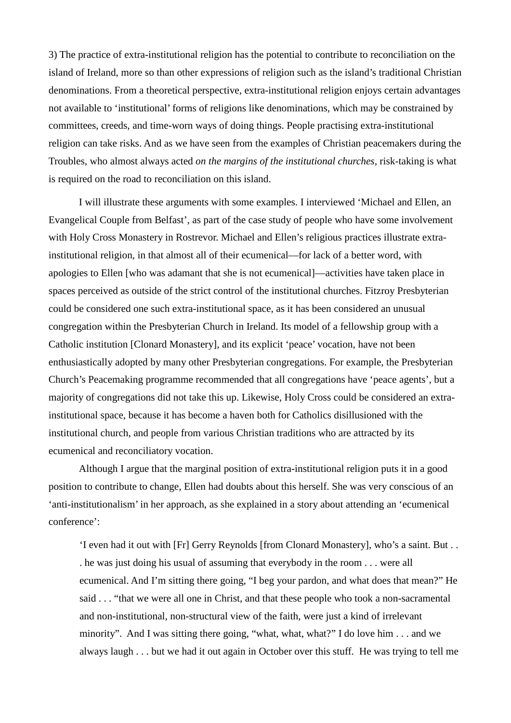3) The practice of extra-institutional religion has the potential to contribute to reconciliation on the island of Ireland, more so than other expressions of religion such as the island's traditional Christian denominations. From a theoretical perspective, extra-institutional religion enjoys certain advantages not available to 'institutional' forms of religions like denominations, which may be constrained by committees, creeds, and time-worn ways of doing things. People practising extra-institutional religion can take risks. And as we have seen from the examples of Christian peacemakers during the Troubles, who almost always acted *on the margins of the institutional churches,* risk-taking is what is required on the road to reconciliation on this island.

I will illustrate these arguments with some examples. I interviewed 'Michael and Ellen, an Evangelical Couple from Belfast', as part of the case study of people who have some involvement with Holy Cross Monastery in Rostrevor. Michael and Ellen's religious practices illustrate extrainstitutional religion, in that almost all of their ecumenical—for lack of a better word, with apologies to Ellen [who was adamant that she is not ecumenical]—activities have taken place in spaces perceived as outside of the strict control of the institutional churches. Fitzroy Presbyterian could be considered one such extra-institutional space, as it has been considered an unusual congregation within the Presbyterian Church in Ireland. Its model of a fellowship group with a Catholic institution [Clonard Monastery], and its explicit 'peace' vocation, have not been enthusiastically adopted by many other Presbyterian congregations. For example, the Presbyterian Church's Peacemaking programme recommended that all congregations have 'peace agents', but a majority of congregations did not take this up. Likewise, Holy Cross could be considered an extrainstitutional space, because it has become a haven both for Catholics disillusioned with the institutional church, and people from various Christian traditions who are attracted by its ecumenical and reconciliatory vocation.

Although I argue that the marginal position of extra-institutional religion puts it in a good position to contribute to change, Ellen had doubts about this herself. She was very conscious of an 'anti-institutionalism' in her approach, as she explained in a story about attending an 'ecumenical conference':

'I even had it out with [Fr] Gerry Reynolds [from Clonard Monastery], who's a saint. But . . . he was just doing his usual of assuming that everybody in the room . . . were all ecumenical. And I'm sitting there going, "I beg your pardon, and what does that mean?" He said . . . "that we were all one in Christ, and that these people who took a non-sacramental and non-institutional, non-structural view of the faith, were just a kind of irrelevant minority". And I was sitting there going, "what, what, what?" I do love him . . . and we always laugh . . . but we had it out again in October over this stuff. He was trying to tell me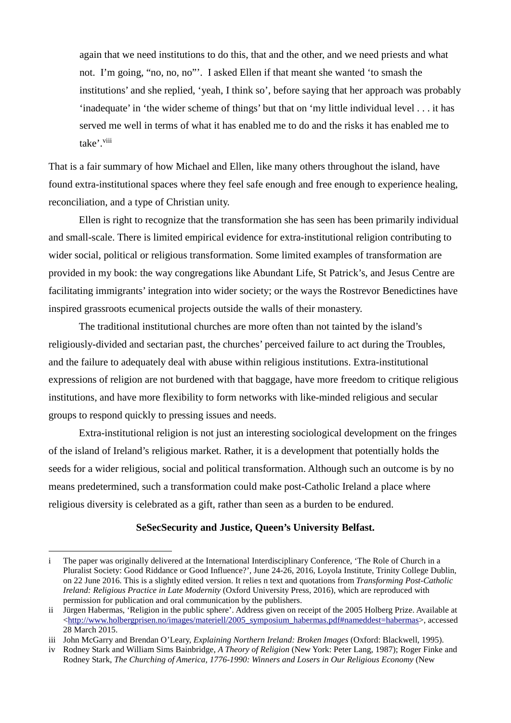again that we need institutions to do this, that and the other, and we need priests and what not. I'm going, "no, no, no"'. I asked Ellen if that meant she wanted 'to smash the institutions' and she replied, 'yeah, I think so', before saying that her approach was probably 'inadequate' in 'the wider scheme of things' but that on 'my little individual level . . . it has served me well in terms of what it has enabled me to do and the risks it has enabled me to take'.<sup>viii</sup>

That is a fair summary of how Michael and Ellen, like many others throughout the island, have found extra-institutional spaces where they feel safe enough and free enough to experience healing, reconciliation, and a type of Christian unity.

Ellen is right to recognize that the transformation she has seen has been primarily individual and small-scale. There is limited empirical evidence for extra-institutional religion contributing to wider social, political or religious transformation. Some limited examples of transformation are provided in my book: the way congregations like Abundant Life, St Patrick's, and Jesus Centre are facilitating immigrants' integration into wider society; or the ways the Rostrevor Benedictines have inspired grassroots ecumenical projects outside the walls of their monastery.

The traditional institutional churches are more often than not tainted by the island's religiously-divided and sectarian past, the churches' perceived failure to act during the Troubles, and the failure to adequately deal with abuse within religious institutions. Extra-institutional expressions of religion are not burdened with that baggage, have more freedom to critique religious institutions, and have more flexibility to form networks with like-minded religious and secular groups to respond quickly to pressing issues and needs.

Extra-institutional religion is not just an interesting sociological development on the fringes of the island of Ireland's religious market. Rather, it is a development that potentially holds the seeds for a wider religious, social and political transformation. Although such an outcome is by no means predetermined, such a transformation could make post-Catholic Ireland a place where religious diversity is celebrated as a gift, rather than seen as a burden to be endured.

### **SeSecSecurity and Justice, Queen's University Belfast.**

i The paper was originally delivered at the International Interdisciplinary Conference, 'The Role of Church in a Pluralist Society: Good Riddance or Good Influence?', June 24-26, 2016, Loyola Institute, Trinity College Dublin, on 22 June 2016. This is a slightly edited version. It relies n text and quotations from *Transforming Post-Catholic Ireland: Religious Practice in Late Modernity* (Oxford University Press, 2016), which are reproduced with permission for publication and oral communication by the publishers.

ii Jürgen Habermas, 'Religion in the public sphere'. Address given on receipt of the 2005 Holberg Prize. Available at [<http://www.holbergprisen.no/images/materiell/2005\\_symposium\\_habermas.pdf#nameddest=habermas>](http://www.holbergprisen.no/images/materiell/2005_symposium_habermas.pdf%23nameddest=habermas), accessed 28 March 2015.

iii John McGarry and Brendan O'Leary, *Explaining Northern Ireland: Broken Images* (Oxford: Blackwell, 1995).

iv Rodney Stark and William Sims Bainbridge, *A Theory of Religion* (New York: Peter Lang, 1987); Roger Finke and Rodney Stark, *The Churching of America, 1776-1990: Winners and Losers in Our Religious Economy* (New